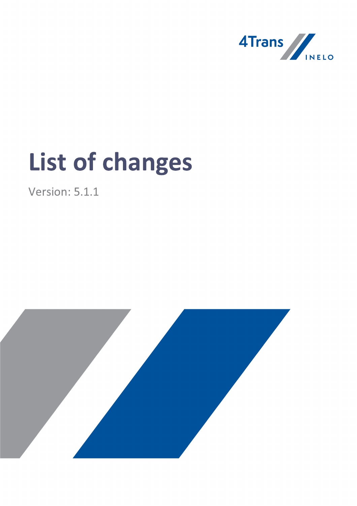

# List of changes

Version: 5.1.1

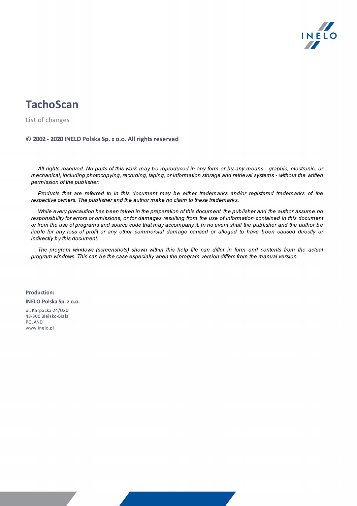

# **TachoScan**

List of changes

#### © 2002 - 2020 INELO Polska Sp. z o.o. All rights reserved

All rights reserved. No parts of this work may be reproduced in any form or by any means - graphic, electronic, or mechanical, including photocopying, recording, taping, or information storage and retrieval systems - without the written permission of the publisher.

Products that are referred to in this document may be either trademarks and/or registered trademarks of the respective owners. The publisher and the author make no claim to these trademarks.

While every precaution has been taken in the preparation of this document, the publisher and the author assume no responsibility for errors or omissions, or for damages resulting from the use of information contained in this document or from the use of programs and source code that may accompany it. In no event shall the publisher and the author be liable for any loss of profit or any other commercial damage caused or alleged to have been caused directly or indirectly by this document.

The program windows (screenshots) shown within this help file can differ in form and contents from the actual program windows. This can be the case especially when the program version differs from the manual version.

Production: INELO Polska Sp.z o.o.

ul. Karpacka 24/U2b 43-300 Bielsko-Biała POLAND www.inelo.pl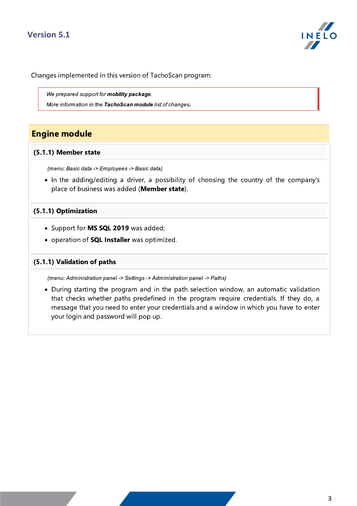## Version 5.1



Changes implemented in this version of TachoScan program:

We prepared support for mobility package.

More information in the TachoScan module list of changes.

### Engine module

#### (5.1.1) Member state

(menu: Basic data -> Employees -> Basic data)

· In the adding/editing a driver, a possibility of choosing the country of the company's place of business was added (Member state).

#### (5.1.1) Optimization

- Support for **MS SQL 2019** was added;
- operation of **SQL Installer** was optimized.

#### (5.1.1) Validation of paths

(menu: Administration panel -> Settings -> Administration panel -> Paths)

· During starting the program and in the path selection window, an automatic validation that checks whether paths predefined in the program require credentials. If they do, a message that you need to enter your credentials and a window in which you have to enter your login and password will pop up.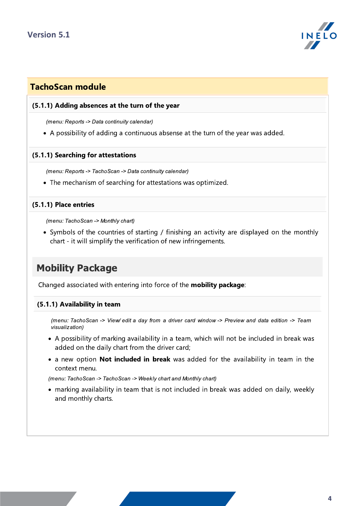

## TachoScan module

#### (5.1.1) Adding absences at the turn of the year

(menu: Reports -> Data continuity calendar)

·A possibility of adding a continuous absense at the turn of the year was added.

#### (5.1.1) Searching for attestations

(menu: Reports -> TachoScan -> Data continuity calendar)

·The mechanism of searching for attestations was optimized.

#### (5.1.1) Place entries

(menu: TachoScan -> Monthly chart)

· Symbols of the countries of starting / finishing an activity are displayed on the monthly chart - it will simplify the verification of new infringements.

## Mobility Package

Changed associated with entering into force of the **mobility package**:

#### (5.1.1) Availability in team

(menu: TachoScan -> View/ edit a day from a driver card window -> Preview and data edition -> Team visualization)

- · A possibility of marking availability in a team, which will not be included in break was added on the daily chart from the driver card;
- a new option **Not included in break** was added for the availability in team in the context menu.

(menu: TachoScan -> TachoScan -> Weekly chart and Monthly chart)

· marking availability in team that is not included in break was added on daily, weekly and monthly charts.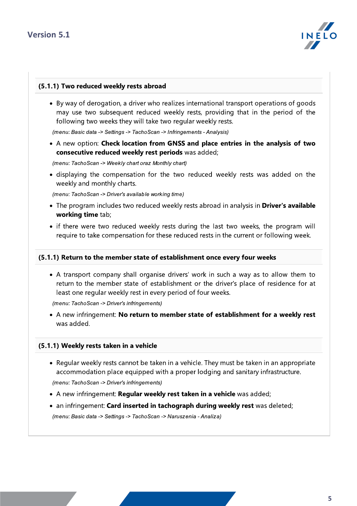

#### (5.1.1) Two reduced weekly rests abroad

· By way of derogation, a driver who realizes international transport operations of goods may use two subsequent reduced weekly rests, providing that in the period of the following two weeks they will take two regular weekly rests.

(menu: Basic data -> Settings -> TachoScan -> Infringements - Analysis)

· <sup>A</sup> new option: Check location from GNSS and place entries in the analysis of two consecutive reduced weekly rest periods was added;

(menu: TachoScan -> Weekly chart oraz Monthly chart)

· displaying the compensation for the two reduced weekly rests was added on the weekly and monthly charts.

(menu: TachoScan -> Driver's available working time)

- The program includes two reduced weekly rests abroad in analysis in **Driver's available** working time tab;
- · if there were two reduced weekly rests during the last two weeks, the program will require to take compensation for these reduced rests in the current or following week.

#### (5.1.1) Return to the member state of establishment once every four weeks

· A transport company shall organise drivers' work in such a way as to allow them to return to the member state of establishment or the driver's place of residence for at least one regular weekly rest in every period of four weeks.

(menu: TachoScan -> Driver's infringements)

• A new infringement: No return to member state of establishment for a weekly rest was added.

#### (5.1.1) Weekly rests taken in a vehicle

· Regular weekly rests cannot be taken in a vehicle. They must be taken in an appropriate accommodation place equipped with a proper lodging and sanitary infrastructure.

(menu: TachoScan -> Driver's infringements)

- A new infringement: Re<mark>gular weekly rest taken in a vehicle</mark> was added;
- an infringement: Ca<mark>rd inserted in tachograph during weekly rest</mark> was deleted; (menu: Basic data -> Settings -> TachoScan -> Naruszenia - Analiza)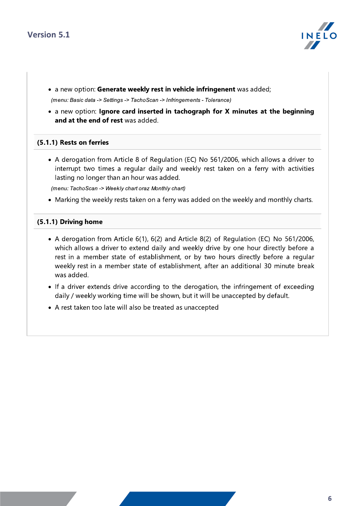

- a new option: Ge<mark>nerate weekly rest in vehicle infringenent</mark> was added; (menu: Basic data -> Settings -> TachoScan -> Infringements - Tolerance)
- · <sup>a</sup> new option: Ignore card inserted in tachograph for <sup>X</sup> minutes at the beginning and at the end of rest was added.

#### (5.1.1) Rests on ferries

· A derogation from Article 8 of Regulation (EC) No 561/2006, which allows a driver to interrupt two times a regular daily and weekly rest taken on a ferry with activities lasting no longer than an hour was added.

(menu: TachoScan -> Weekly chart oraz Monthly chart)

·Marking the weekly rests taken on a ferry was added on the weekly and monthly charts.

#### (5.1.1) Driving home

- ·A derogation from Article  $\sigma(1)$ ,  $\sigma(2)$  and Article  $\sigma(2)$  or Regulation (EC) No 561/2006, which allows a driver to extend daily and weekly drive by one hour directly before a rest in a member state of establishment, or by two hours directly before a regular weekly rest in a member state of establishment, after an additional 30 minute break was added.
- · If a driver extends drive according to the derogation, the infringement of exceeding daily / weekly working time will be shown, but it will be unaccepted by default.
- ·A rest taken too late will also be treated as unaccepted